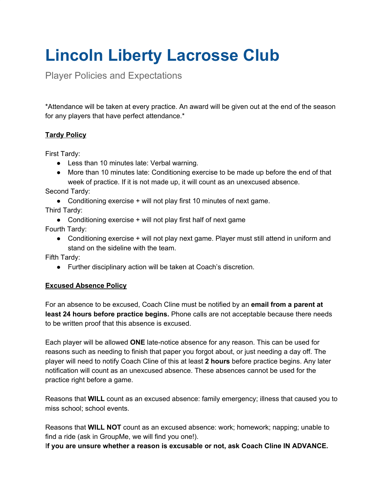# **Lincoln Liberty Lacrosse Club**

Player Policies and Expectations

\*Attendance will be taken at every practice. An award will be given out at the end of the season for any players that have perfect attendance.\*

# **Tardy Policy**

First Tardy:

- Less than 10 minutes late: Verbal warning.
- More than 10 minutes late: Conditioning exercise to be made up before the end of that week of practice. If it is not made up, it will count as an unexcused absence.

Second Tardy:

- Conditioning exercise + will not play first 10 minutes of next game.
- Third Tardy:
	- Conditioning exercise  $+$  will not play first half of next game
- Fourth Tardy:
	- Conditioning exercise + will not play next game. Player must still attend in uniform and stand on the sideline with the team.

Fifth Tardy:

● Further disciplinary action will be taken at Coach's discretion.

# **Excused Absence Policy**

For an absence to be excused, Coach Cline must be notified by an **email from a parent at least 24 hours before practice begins.** Phone calls are not acceptable because there needs to be written proof that this absence is excused.

Each player will be allowed **ONE** late-notice absence for any reason. This can be used for reasons such as needing to finish that paper you forgot about, or just needing a day off. The player will need to notify Coach Cline of this at least **2 hours** before practice begins. Any later notification will count as an unexcused absence. These absences cannot be used for the practice right before a game.

Reasons that **WILL** count as an excused absence: family emergency; illness that caused you to miss school; school events.

Reasons that **WILL NOT** count as an excused absence: work; homework; napping; unable to find a ride (ask in GroupMe, we will find you one!).

I**f you are unsure whether a reason is excusable or not, ask Coach Cline IN ADVANCE.**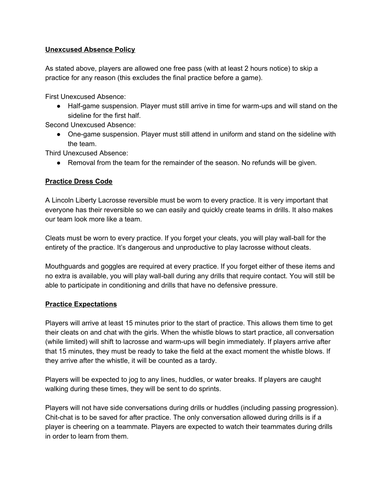### **Unexcused Absence Policy**

As stated above, players are allowed one free pass (with at least 2 hours notice) to skip a practice for any reason (this excludes the final practice before a game).

First Unexcused Absence:

● Half-game suspension. Player must still arrive in time for warm-ups and will stand on the sideline for the first half.

Second Unexcused Absence:

● One-game suspension. Player must still attend in uniform and stand on the sideline with the team.

Third Unexcused Absence:

● Removal from the team for the remainder of the season. No refunds will be given.

#### **Practice Dress Code**

A Lincoln Liberty Lacrosse reversible must be worn to every practice. It is very important that everyone has their reversible so we can easily and quickly create teams in drills. It also makes our team look more like a team.

Cleats must be worn to every practice. If you forget your cleats, you will play wall-ball for the entirety of the practice. It's dangerous and unproductive to play lacrosse without cleats.

Mouthguards and goggles are required at every practice. If you forget either of these items and no extra is available, you will play wall-ball during any drills that require contact. You will still be able to participate in conditioning and drills that have no defensive pressure.

#### **Practice Expectations**

Players will arrive at least 15 minutes prior to the start of practice. This allows them time to get their cleats on and chat with the girls. When the whistle blows to start practice, all conversation (while limited) will shift to lacrosse and warm-ups will begin immediately. If players arrive after that 15 minutes, they must be ready to take the field at the exact moment the whistle blows. If they arrive after the whistle, it will be counted as a tardy.

Players will be expected to jog to any lines, huddles, or water breaks. If players are caught walking during these times, they will be sent to do sprints.

Players will not have side conversations during drills or huddles (including passing progression). Chit-chat is to be saved for after practice. The only conversation allowed during drills is if a player is cheering on a teammate. Players are expected to watch their teammates during drills in order to learn from them.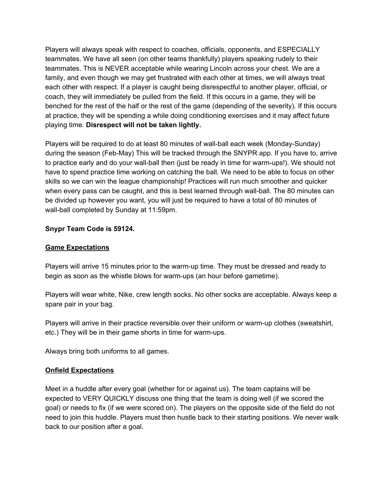Players will always speak with respect to coaches, officials, opponents, and ESPECIALLY teammates. We have all seen (on other teams thankfully) players speaking rudely to their teammates. This is NEVER acceptable while wearing Lincoln across your chest. We are a family, and even though we may get frustrated with each other at times, we will always treat each other with respect. If a player is caught being disrespectful to another player, official, or coach, they will immediately be pulled from the field. If this occurs in a game, they will be benched for the rest of the half or the rest of the game (depending of the severity). If this occurs at practice, they will be spending a while doing conditioning exercises and it may affect future playing time. **Disrespect will not be taken lightly.**

Players will be required to do at least 80 minutes of wall-ball each week (Monday-Sunday) during the season (Feb-May) This will be tracked through the SNYPR app. If you have to, arrive to practice early and do your wall-ball then (just be ready in time for warm-ups!). We should not have to spend practice time working on catching the ball. We need to be able to focus on other skills so we can win the league championship! Practices will run much smoother and quicker when every pass can be caught, and this is best learned through wall-ball. The 80 minutes can be divided up however you want, you will just be required to have a total of 80 minutes of wall-ball completed by Sunday at 11:59pm.

## **Snypr Team Code is 59124.**

### **Game Expectations**

Players will arrive 15 minutes prior to the warm-up time. They must be dressed and ready to begin as soon as the whistle blows for warm-ups (an hour before gametime).

Players will wear white, Nike, crew length socks. No other socks are acceptable. Always keep a spare pair in your bag.

Players will arrive in their practice reversible over their uniform or warm-up clothes (sweatshirt, etc.) They will be in their game shorts in time for warm-ups.

Always bring both uniforms to all games.

#### **Onfield Expectations**

Meet in a huddle after every goal (whether for or against us). The team captains will be expected to VERY QUICKLY discuss one thing that the team is doing well (if we scored the goal) or needs to fix (if we were scored on). The players on the opposite side of the field do not need to join this huddle. Players must then hustle back to their starting positions. We never walk back to our position after a goal.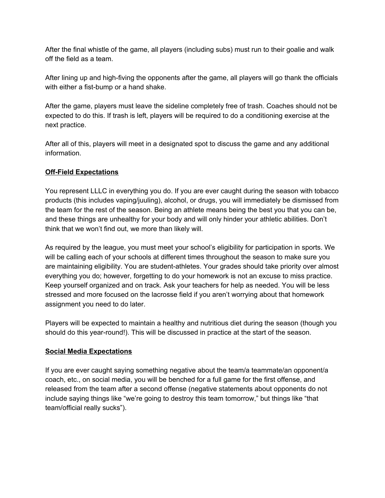After the final whistle of the game, all players (including subs) must run to their goalie and walk off the field as a team.

After lining up and high-fiving the opponents after the game, all players will go thank the officials with either a fist-bump or a hand shake.

After the game, players must leave the sideline completely free of trash. Coaches should not be expected to do this. If trash is left, players will be required to do a conditioning exercise at the next practice.

After all of this, players will meet in a designated spot to discuss the game and any additional information.

## **Off-Field Expectations**

You represent LLLC in everything you do. If you are ever caught during the season with tobacco products (this includes vaping/juuling), alcohol, or drugs, you will immediately be dismissed from the team for the rest of the season. Being an athlete means being the best you that you can be, and these things are unhealthy for your body and will only hinder your athletic abilities. Don't think that we won't find out, we more than likely will.

As required by the league, you must meet your school's eligibility for participation in sports. We will be calling each of your schools at different times throughout the season to make sure you are maintaining eligibility. You are student-athletes. Your grades should take priority over almost everything you do; however, forgetting to do your homework is not an excuse to miss practice. Keep yourself organized and on track. Ask your teachers for help as needed. You will be less stressed and more focused on the lacrosse field if you aren't worrying about that homework assignment you need to do later.

Players will be expected to maintain a healthy and nutritious diet during the season (though you should do this year-round!). This will be discussed in practice at the start of the season.

# **Social Media Expectations**

If you are ever caught saying something negative about the team/a teammate/an opponent/a coach, etc., on social media, you will be benched for a full game for the first offense, and released from the team after a second offense (negative statements about opponents do not include saying things like "we're going to destroy this team tomorrow," but things like "that team/official really sucks").